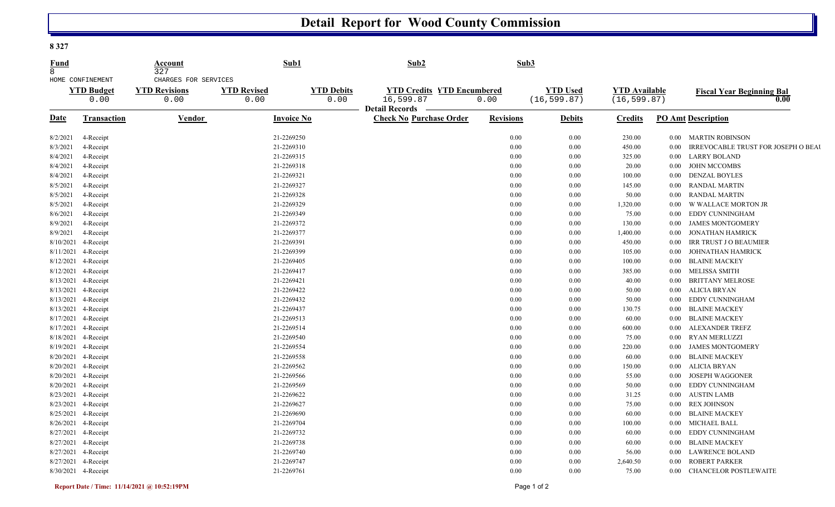## **Detail Report for Wood County Commission**

**8 327** 

| Fund<br>$\mathsf{R}$ |                                               | Account<br>327                                       | Sub1                       |                           | Sub2                                                                    |                  | Sub3                            |                                      |          |                                           |
|----------------------|-----------------------------------------------|------------------------------------------------------|----------------------------|---------------------------|-------------------------------------------------------------------------|------------------|---------------------------------|--------------------------------------|----------|-------------------------------------------|
|                      | HOME CONFINEMENT<br><b>YTD Budget</b><br>0.00 | CHARGES FOR SERVICES<br><b>YTD Revisions</b><br>0.00 | <b>YTD Revised</b><br>0.00 | <b>YTD Debits</b><br>0.00 | <b>YTD Credits YTD Encumbered</b><br>16,599.87<br><b>Detail Records</b> | 0.00             | <b>YTD Used</b><br>(16, 599.87) | <b>YTD</b> Available<br>(16, 599.87) |          | <b>Fiscal Year Beginning Bal</b><br>0.00  |
| Date                 | <b>Transaction</b>                            | Vendor                                               | Invoice No                 |                           | <b>Check No Purchase Order</b>                                          | <b>Revisions</b> | <b>Debits</b>                   | <b>Credits</b>                       |          | <b>PO Amt Description</b>                 |
| 8/2/2021             | 4-Receipt                                     |                                                      | 21-2269250                 |                           |                                                                         | 0.00             | 0.00                            | 230.00                               | $0.00\,$ | <b>MARTIN ROBINSON</b>                    |
| 8/3/2021             | 4-Receipt                                     |                                                      | 21-2269310                 |                           |                                                                         | 0.00             | 0.00                            | 450.00                               | 0.00     | <b>IRREVOCABLE TRUST FOR JOSEPH O BEA</b> |
| 8/4/2021             | 4-Receipt                                     |                                                      | 21-2269315                 |                           |                                                                         | 0.00             | 0.00                            | 325.00                               | $0.00\,$ | LARRY BOLAND                              |
| 8/4/2021             | 4-Receipt                                     |                                                      | 21-2269318                 |                           |                                                                         | 0.00             | 0.00                            | 20.00                                | 0.00     | <b>JOHN MCCOMBS</b>                       |
| 8/4/2021             | 4-Receipt                                     |                                                      | 21-2269321                 |                           |                                                                         | 0.00             | 0.00                            | 100.00                               | $0.00\,$ | <b>DENZAL BOYLES</b>                      |
| 8/5/2021             | 4-Receipt                                     |                                                      | 21-2269327                 |                           |                                                                         | 0.00             | 0.00                            | 145.00                               | $0.00\,$ | RANDAL MARTIN                             |
| 8/5/2021             | 4-Receipt                                     |                                                      | 21-2269328                 |                           |                                                                         | 0.00             | 0.00                            | 50.00                                | $0.00\,$ | <b>RANDAL MARTIN</b>                      |
| 8/5/2021             | 4-Receipt                                     |                                                      | 21-2269329                 |                           |                                                                         | 0.00             | 0.00                            | 1,320.00                             | 0.00     | W WALLACE MORTON JR                       |
| 8/6/2021             | 4-Receipt                                     |                                                      | 21-2269349                 |                           |                                                                         | 0.00             | 0.00                            | 75.00                                | 0.00     | EDDY CUNNINGHAM                           |
| 8/9/2021             | 4-Receipt                                     |                                                      | 21-2269372                 |                           |                                                                         | 0.00             | 0.00                            | 130.00                               | 0.00     | <b>JAMES MONTGOMERY</b>                   |
| 8/9/2021             | 4-Receipt                                     |                                                      | 21-2269377                 |                           |                                                                         | 0.00             | 0.00                            | 1,400.00                             | 0.00     | JONATHAN HAMRICK                          |
| 8/10/2021            | 4-Receipt                                     |                                                      | 21-2269391                 |                           |                                                                         | 0.00             | 0.00                            | 450.00                               | 0.00     | IRR TRUST J O BEAUMIER                    |
| 8/11/2021            | 4-Receipt                                     |                                                      | 21-2269399                 |                           |                                                                         | 0.00             | 0.00                            | 105.00                               | 0.00     | <b>JOHNATHAN HAMRICK</b>                  |
| 8/12/2021            | 4-Receipt                                     |                                                      | 21-2269405                 |                           |                                                                         | 0.00             | 0.00                            | 100.00                               | $0.00\,$ | <b>BLAINE MACKEY</b>                      |
| 8/12/2021            | 4-Receipt                                     |                                                      | 21-2269417                 |                           |                                                                         | 0.00             | 0.00                            | 385.00                               | $0.00\,$ | <b>MELISSA SMITH</b>                      |
| 8/13/2021            | 4-Receipt                                     |                                                      | 21-2269421                 |                           |                                                                         | 0.00             | 0.00                            | 40.00                                | 0.00     | <b>BRITTANY MELROSE</b>                   |
| 8/13/2021            | 4-Receipt                                     |                                                      | 21-2269422                 |                           |                                                                         | 0.00             | 0.00                            | 50.00                                | 0.00     | <b>ALICIA BRYAN</b>                       |
| 8/13/2021            | 4-Receipt                                     |                                                      | 21-2269432                 |                           |                                                                         | 0.00             | 0.00                            | 50.00                                | 0.00     | EDDY CUNNINGHAM                           |
| 8/13/2021            | 4-Receipt                                     |                                                      | 21-2269437                 |                           |                                                                         | 0.00             | 0.00                            | 130.75                               | $0.00\,$ | <b>BLAINE MACKEY</b>                      |
| 8/17/2021            | 4-Receipt                                     |                                                      | 21-2269513                 |                           |                                                                         | 0.00             | 0.00                            | 60.00                                | 0.00     | <b>BLAINE MACKEY</b>                      |
| 8/17/2021            | 4-Receipt                                     |                                                      | 21-2269514                 |                           |                                                                         | 0.00             | 0.00                            | 600.00                               | 0.00     | <b>ALEXANDER TREFZ</b>                    |
| 8/18/2021            | 4-Receipt                                     |                                                      | 21-2269540                 |                           |                                                                         | 0.00             | 0.00                            | 75.00                                | $0.00\,$ | RYAN MERLUZZI                             |
| 8/19/2021            | 4-Receipt                                     |                                                      | 21-2269554                 |                           |                                                                         | 0.00             | 0.00                            | 220.00                               | 0.00     | <b>JAMES MONTGOMERY</b>                   |
| 8/20/2021            | 4-Receipt                                     |                                                      | 21-2269558                 |                           |                                                                         | 0.00             | 0.00                            | 60.00                                | 0.00     | <b>BLAINE MACKEY</b>                      |
| 8/20/2021            | 4-Receipt                                     |                                                      | 21-2269562                 |                           |                                                                         | 0.00             | 0.00                            | 150.00                               | $0.00\,$ | ALICIA BRYAN                              |
| 8/20/2021            | 4-Receipt                                     |                                                      | 21-2269566                 |                           |                                                                         | 0.00             | 0.00                            | 55.00                                | 0.00     | <b>JOSEPH WAGGONER</b>                    |
| 8/20/2021            | 4-Receipt                                     |                                                      | 21-2269569                 |                           |                                                                         | 0.00             | 0.00                            | 50.00                                | 0.00     | EDDY CUNNINGHAM                           |
| 8/23/2021            | 4-Receipt                                     |                                                      | 21-2269622                 |                           |                                                                         | 0.00             | 0.00                            | 31.25                                | 0.00     | <b>AUSTIN LAMB</b>                        |
| 8/23/2021            | 4-Receipt                                     |                                                      | 21-2269627                 |                           |                                                                         | 0.00             | 0.00                            | 75.00                                | 0.00     | <b>REX JOHNSON</b>                        |
| 8/25/2021            | 4-Receipt                                     |                                                      | 21-2269690                 |                           |                                                                         | 0.00             | 0.00                            | 60.00                                | 0.00     | <b>BLAINE MACKEY</b>                      |
| 8/26/2021            | 4-Receipt                                     |                                                      | 21-2269704                 |                           |                                                                         | 0.00             | 0.00                            | 100.00                               | $0.00\,$ | <b>MICHAEL BALL</b>                       |
| 8/27/2021            | 4-Receipt                                     |                                                      | 21-2269732                 |                           |                                                                         | 0.00             | 0.00                            | 60.00                                | $0.00\,$ | EDDY CUNNINGHAM                           |
| 8/27/2021            | 4-Receipt                                     |                                                      | 21-2269738                 |                           |                                                                         | 0.00             | 0.00                            | 60.00                                | 0.00     | <b>BLAINE MACKEY</b>                      |
| 8/27/2021            | 4-Receipt                                     |                                                      | 21-2269740                 |                           |                                                                         | 0.00             | 0.00                            | 56.00                                | 0.00     | <b>LAWRENCE BOLAND</b>                    |
| 8/27/2021            | 4-Receipt                                     |                                                      | 21-2269747                 |                           |                                                                         | 0.00             | 0.00                            | 2,640.50                             | 0.00     | <b>ROBERT PARKER</b>                      |
|                      | 8/30/2021 4-Receipt                           |                                                      | 21-2269761                 |                           |                                                                         | 0.00             | 0.00                            | 75.00                                | 0.00     | <b>CHANCELOR POSTLEWAITE</b>              |

U,